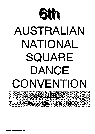

# AUSTRALIAN NATIONAL SQUARE DANCE CONVENTION SYDNEY

- 14th June 1965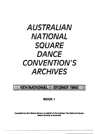# **AUSTRALIAN NATIONAL SQUARE DANCE CONVENTION'S ARCHIVES**



BOOK 1

Complied by Mrs Marion Brown on behalf of the trustees The National Square Dance Society of Australia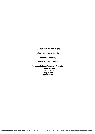6th National· SYDNEY 1965

Convenor· Laurie Spalding

Secretary. Bill Rolph

Treasurer - Bev Pickworth

Accommodation & Transport Committee: Graham Norman Frank O'Mara Roy Welch Herb Williams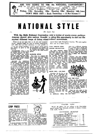

### With the Sixth National Convention only a matter of weeks away, perhaps dancers should give serious thought to using this opportunity to sort out the myriad different ways of doing standardised movements.

Please let no one reply that we do not need standardisation. America fought for years to become standardised. and, while there are local variations, it is now possible to

tion should ce given to the iollowing:

**PROMENADE:** There is the old method and the new Skater's Waltz position. It is inter-<br>esting to note that several McGRATH STYLE American areas have now adopred the Skater's Waltz method of promenade, which I believe started in Sydney.

RETURN TO ORIGINAL<br>POSITION. When promenading to the original position, there we several methods. In Sydney, we woman is either twirled out the words in America, or just<br>turned in In a most awkward<br>turned in In Melbourne, there is<br>a different form of twirt out, which is very acceptable, and Sydney dancers have been eyeing it with a view to adoption.<br>There is also the McGrath style lean out, in which, if one misses the hand-grasp, they would break their back on the floor. Recently shown in Sydney by

Recently shown in Eydney by<br>a group of visiting Americans<br>was a new method which is<br>gaining in popularity through-<br>out U.S.A., mainly because it<br>graceful, and is less stremuous.<br>This movement is performed by<br>the couple tur the couple turning out of the<br>square on reaching their home<br>position, then backing in a<br>clockwise position, and then<br>moving forward, still maintain-

I leel that serious considera- ing the Skater's Waitz position of promenade and cutting out<br>all twirling and bowing. This<br>new style is well worth investigation.

This refers to a former Me!tins refers the author and the caller Tom McGrath. When caller Tom McGrath. When square dancing first arrived in of the Melbourne organisers. He decided to adopt some purely your partner was always your<br>original partner and never<br>changed, no matter what. There are several McGrath groups still<br>in existence and no doubt they<br>will have good arguments for maintaining their stvie -of dancing.



square dance right throughout America. The same applies here, only to a lesser extent.

#### WALK AROUND YOUR CORNER SEE-SAW-TAW

For some unknown reason<br>Australians do this the wrong The American movement way. is right shoulder corner and<br>left shoulder partner. Every **BDD** now and then you will notles you come out of a movement and walk around your corner. and you seem to be doing this the wrong shoulder. This is tecause the dance has been ior This particular<br>confuses that the confuses the<br>This American written movement. movement Americans more than anything else.

#### DOCEY DOE v. DO PASO

Nowadays Do-Si-Do is not called for an allemande left partner, right corner, left part-<br>ner. It has been suggested that Do-Si-Do is only the first two movements, but recent definicall was dropped several years ago to eliminate the confusion<br>with Do-Sa-Do, which is to walk around someone. The contusion has arisen because square dencing was basically taught in Alatmin by Joe Lewis, a Texan,<br>However, even Joe does not<br>teach the movement this way nowadays.

In Melbourne, Docey Doe

takes on a different meaning, as it is done with a whoop and a holler, a series of handclaps and twirls. This, of course, is where an area difference comes in, and it might be fair to say<br>this is Docey Doe Melbourne Style.

However, one must imagine the Melbourne dancers are given more time to execute this particular movement than in the normal quick hoedowns given in other States.



#### BOX THE GNAT

والمسوريات

There are still strongholds of Box the Ghat Texan Style in<br>Sydney, where the man turns<br>under instead of the woman. Like Do-Si-Do, even the original teacher of square dancing to Australia no longer teaches it this way in America.

These are only some of the<br>ideas which could be discussed<br>at the Convention. What are your views?

### STOP PRESS

Sydney has already commenced organising for the 1935 Convention. Extensive inquirie, have been made for a sultable venue.



been made for a suitable venue;<br>
and, like Melhourne, they have  $\frac{1}{2}$  and the Melhourne, they have a simulated in Sunday in Sure they have made a tentative to four commutities. All members arrangement to book out the

### CALLERS. NOTE!

Would all callers who are colling at the Convention please contact Tom McGrath. 85-3821. 4 Batten Avenue. west Ryde, N.S.W. ?

| CONVENTION BUOKINGS                   |    |
|---------------------------------------|----|
| $\Lambda$ T 20/3/65                   |    |
| SUNNYSIDERS (Melbourne) a man and man | 80 |
| SOUARE DANCING SOC. OF Q'LD.          | 50 |
| WHEELING 8's (Brisbane) a all and any | 34 |
| LES SCHRODER (Melhourne)              | 24 |
| WALLY COOK GROUP (Melbourne)          | 18 |
|                                       | -8 |
| LAUNCESTON CLUB (Tasmania) and and    | -4 |
| SEE YOUR BOOKING HERE NEXT MONTH!     |    |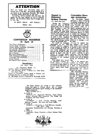**ATTENTION** 

Have you bought your Convention ticket yet? Closing date is 13th May. All bookings MUST he in thc hands of the Convention Secl'etary, Bill Rolph, 7 Somerset Street, Hurstville, by that date.

No bookings will be available after that date; this applies for the local daneers as well as interstate dancers. All Convention tickets must be bought prior to that day.

SO DON'T DELAY. ACT TO·DAY I

### PRICE 30/-.



### **CONVENTION BOOKINGS At April 13**

| Hon Whyte (Melbourne) and the time and the met was | 100 |
|----------------------------------------------------|-----|
|                                                    | 66  |
| Hunter District Committee (Newcastle)              | 56  |
|                                                    | 34  |
|                                                    | 24  |
|                                                    | 37  |
|                                                    | 11  |
|                                                    | 5   |
| Colin Huddleston (Adelaide)                        | 5   |
| Launceston Club (Tasmania)                         | 2   |
|                                                    |     |
| Eric Bastion (New Zealand)                         | 2   |
|                                                    |     |

### **Deadlines:**

13th MAY. 1965

For Programme Details. viz.:

Speakers. Callers and Entertainment-<br>To Tom McGrath, 85-321. 4 Batten Ave., West Ryde. The minutes of duration per item. Tom McGrath. 85-321. 4 Batten Avc., West Ryde. New South Wales.

 $R$ *eturn of Conrention Tickets issued to Country and* Interslate *Dancers, or money for same*-

To Bill Rolph, 57-5'115. 7 Somcrset St .. Hurstville, N.S.W. **-------- - - ----- ------.--.------ - - -** ---~.,.,- •• -Ao,r'~

**Appeal to Motorised Sydney Dancers** 

*(i.e., those with cars)* 

During the Convention week-end when we N.S.W. dancers play hosts to dancers light transport has arisen. who have not previously been Our guests will need trans-invited to call at the major port from the various railway Convention dances are asked stations, bus termini and air. to contact the chairman of ports, where they will arrive eu route to their respective hotels and guest houses where nue, West Ryde, who will they will be staying-mainly endeavour to arrange a call around the Cronulla area.

We would be extremely appreciative of any help this category will include<br>
Available between approxit many callers and it may not ""available . between approximately nudday on Friday to 5 p.m. on Saturday, June 12, and would appreciate any motorist who is able to assist getting in touch wilh Roy Welch, 15 Vivienne Street, experience. This will depend Kingsgrove, 50-9208, who is entirely upon time and public chairman of the transport committee.

These people have turned on marvellous transport for N.S.W. dancers at previous conventions in other States, so let's do our bit and show real Sydney square dance hospitality.

### **.Convention News and Information**<br>On Convention Sunday

from all states, a need for regular permanent basis and On Convention afternoon a dance consisting of general round-ups will be hela at the Cecil house Hallroom, Cronulla. Any callers who conduct clubs on a the programming committee, Tom McGrath, 4 Batten Avefor them.

It must he realised that be possible to give everybody a call. If, however, time permits, trainee callers, and callers without regular clubs may be given a chance to gain rcaction, and will be decided during the afternoon's dancing.

Due tu the limited time available on Sunday afternoon, each State is requested 10 limit its demonsh'ation5 and/or items to two items of<br>approximately five minutes

The Convention Secretary reminds all interstate and intrastate dancers of the normal type of weather which Sydney experiences during winter, and rccommends the interstate dancers to come equippcd with Convention ticket, rug and raincoat, although he hopes that only the ticket will be used.

All square dancers are invited to meet interstate friends and dance to visiting callers; also to witness exhibitions and discuss square dancing in the friendliest possible atmosphere.

Main functions are: $\rightarrow$  JUNE 11

*FRIl)AY.-Gct* Acquainted Roundup, North Sydney Soldiers' Memorial Hall, Camnwray. Roy Welch, Len 'Woodhead, and Gucst Callcrs. \* JUNE 12

SATURDAY. - Sixth National Roundup, Cecil Ballroom, Cronulla. Ron Jones and Guest Callers.<br> $\star$  JUNE 13.

SUNDAY. - Convention at Cecil Ballroom. Cronulla. 13th MAY, 1965

Discussions, Demonstrations and Dancing. Roundup at Night.<br>★ JUNE 14

------.-----

*MONDAY.*-Picnic Workshup at Royal National Park, Audle),.

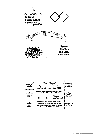

1 Sixth National **NATIONAL**<br>ROUND-UP<br>SATURDAY EVENING<br>MEAL<br>SUNDAY Square Dance Convention Sydney, 12-13-14 June, 1965 Sponsored by the Square Dance Society of N.S.W.<br>on behalf of all Sydney Square Dancers  $\mathbf 2$ 5 **MIDDAY** ROUND-UP<br>SUNDAY<br>NIGHT MEAL<br>SUNDAY  $\sigma$ ickets  $\boldsymbol{81}$  $N_2$ £1-10-0 each Please bring with you - Do Not Detach  $\bullet$ 6 Card Colour indicates Meal Sitting Only **AFTERNOON<br>TEA<br>SUNDAY** SUPPER<br>SUNDAY<br>NIGHT Convenor: Laurie Spalding, Telephone: 89.4606 51 Tennyson Road, Gladesville, N.S.W.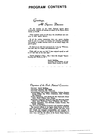### **PROGRAM CONTENTS**

*greetil'lfls,*  .All *S'luare ::Dancers* 

*On t.he occasion oj this Sixtl. National Square Dance Convention.., welcome all dancers on behalf* 0/ *the Square Dance Society of* N.S.W.

*These occasions prove we all enjoy the friendliness and com· pany of other square dancers.* 

*Of all the various conventions there are, square dancing holds its own* as *a* lI~eans *of making and renewing friendships*  with people of similar interests whom we are always happy and *glad* to *greet.* 

*To those of you who halte journeyed far I now* say *"Welcome. may yoltr stay* 1)e *a* happy *and educati(mal one."* 

*While with us, may you feel* "I have enjoyed myself as well as if I had been at my own club."

*"Square Dancing is Fun". May* I *leave the thougll.l "Square*  <sup>"Square</sup> Dancing is Fun".<br>Dancing will Thrive in 65"?

> *Laurie Spalding. Convenor and President 01 the Square Dance Society* 0/ *N.S.W.*

 $O$ rganisers of the *Sixth National Convention* 

Convenor: Laurie Spalding.

Convention Secretary: Bill Rolph.

Convention Treasurer: Bev. Pickworth.

Accommodation and Transport Committee: Graham Norman, Frank O'Mara, Roy Welch (Cbairman), Herb Williams, Bob Woolcock.

Finance Committee; John Northwood, Bev Pickworth (Chair. man), Frank O'Mara, Merv Sharpe.

Programme Committee: Doug Edwards, Tom McGrath (Chair. man). John Northwood, Terry O'Flaherty, Jim White.

Publicity Committee; Tom McGrath, Graham Norman, Roy Smith ( Chairman).

Also the wives and friends of executive and committee members. The executive officers of the Square Dance Society of N.S.W. (past and present), interstate callers, dancers, and their wives and friends who arranged accommodation and transport for dancers; all Sydney callers and dancers who haye assisted in so many ways; and also the editors of the Square Dance Review.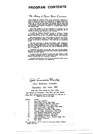## **PROGRAM CONTENTS**

The History of Square Dance Conventions

The concept of national square dance conventions originated in America. The idea of dancers travelling from all points of the continuent to discuss and enjoy their passime on a common basis soon near to graph on. It was no tion exceeds 25,000.

Many had thought of national conventions in Australia. but the running of them had alway.; been regarded as Impractical, due to numbers of dancers and distances to be travelled.

In 1960 the National Eisteddfod Society in Canterra. through the Canberra Square Dance Club, approached the Square Dance<br>Society of N.S.W. with a view to organizing a Square Dance Segment.

The advertisement of this event resulted in dancers from A.C.T., N.S.W. and Queensland applying. With this response, it was decided to hOld a convention in conjunction. The result was an outstanding success.

The 1961 Convention in Sydney saw N.S.W., A.C.T., Queensland<br>and New Zealand represented. The 1962 Convention in Brisbane<br>saw Victoria represented for the first time. The numbers were doubling<br>each year. For 1963 the Conve year in Melbourne.

Attendance has grown to over 360. This year over 350 dancers will travel up to 2,000 miles from Queensland, Victoria, South Australia, Tasmania and New Zealand,

As may be seen, the American pattern has been followed. What was thought impossible is now a remarkable reality. Each year the numters increase and the Conver.tlon improves,

Australian dancers look to the future of Australian Square Dance Conventions with confidence and expectation.

*gala Convention 'JeounJup* 

### Cecil Ballroom, Cronul1a

### Saturday, 12th June, 1965

### Caller Ron Jones assisted by Guest Callers

Joint Masters of Ceremonies - Roy Petty and Ray Watson Please Note: All Roundups and the incomplete set will only be filled in front of the stage.

Bracket Callers

1.

| <b>Callers</b> |                     |
|----------------|---------------------|
|                | Ron Jones (N.S.W.). |

2. Wally Cook (Vic.). Ron Jones.

3. Terry O'Flaherty (N.S.W.). Ron Jones.

4. Colin Huddleston (5.A.). Ron Jones.

5. Henk Johannessen (Newcastle). Ron Jones.

6. ROD Whyte (Vic.). Ron Jones.

7. Bev. Pickworth (N.s.W.). Ron JODes.

8. Graham Rigb)' (Queensland). Ron Jones.

9. Eric Wendell (Queensland). Ron Jones.

- 10. Tom McGrath (N.S.W.). Ron Jones.
- 11. Les Schroder (Victoria). Ron Jones.
- 12. Colin Huddleston (S.A.). Graham Rigby (Q.).
- Ron Whyte (Victoria).

13. Ron Jones.

Tea and biscuits will he served to Convention Ticket holders about 9.30 p.m. وليسترد المستربين المسار

---<---~,.~-~--.-----.. ~~----~----.~ .. --'-----:-...

فلتبرئ والمتعقد والهووان الداهدي والمستنزل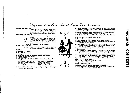# $P$ rogramme of the Sixth National Square Dance Convention

FRIDAY, 11th JUNE, 1965<br>GET ACQUAINTED ROUNDUP in the Ballroom of the North Sydney Soldiers' Memorial Club, Cammeray. principal callers, Roy Welch and Len Woodhcad. assisted by Guest Callers.

#### SATURDAY, 12th JUNE, 1965

- 8 a.m. Meet Interstate Trains at Sydney Railway Station.
- 7 p.m. Be ready for buses departing Motels for 8 p.m. Gala Convention Roundup being held at Cecil Gala Convention Roundup being held at Cecil
- Ballroom, Cronulla. For details see Page 3.
- 8.30 p.m. Official Opening of Sixth National Square Dance Convention.
- 9.30 p.m. Tea and biscuits for ticketholders SUNDAY, 13th JUNE. 19G5
	- 10 a.m. Cecil House Ballroom, Cronulla. Opening of the Sixth National Convention Meeting.

#### AGENDA:

- 1. Welcome All Delegates.
- 2. Roll Call of Delegates.
- 3. Apologies.
- 4. To confirm minutes of the Fifth National Convention.
- 5. Matters arising from minutes.
- 6. Correspondence.
- 7. Delegates from each State to speak. Address to be read and presented on one piece of quarto size paper in standard type.

New Zealand: Erie BasUon. Q'lccnsland: Graham Rigby. 8th. Aust.: Colin Huddleston. Vi~toria: Ron Whyte. Tasmania: Prepared by Shirley<br>Cashoult.

N.S.W.: Laurie Spalding.

8. General Discussion. "Your responsibility to Square Dancing." Chairman. Tom Chambers.

- 9. Limited Discussion. "What do Beginners expect from Square Dancing?" Chairman David Jones. LImited to persons dancing less than 12 months.
- 10. Umited Discussion. "What Moderns Expect of Square Dancing," Chairman John Northwood. Limited to Teenagers.
- 11. South Australian Representalive to confirm that the Seventh National Convention will be held In Adelaide during 1966.
- 12. To receive bids for the Convention of 1967.
- 13. General Business.
- 12 Noon: Lunch for ticket-holders. Three colour sessions.
- 12.30 p.m.: Dress and Style session followed by Round Dancing under direction of Jack Nimmo.
- 2.30 pm.: Resume Agenda of Convention until completion. concluding With Delegate *01* Host State for 1966 to Issue personal invitation to the Seventh National Convention.
- 3.30 p.m.: Entertainment by selected artists. Tea and biscuits for ticket· holders.
- 4 p.m.: Continuous General Square Dancing Roundups to Sydney and guest callers, preference being given to club callers who have not been previously invited to call at the Convention.
- 4.30 p.m.: Demonstration by Junior Squares. Cnller, Max Pickworth. Demonstration by Competition Teams showing N.S.W. style and grace. To be judged by panel of interstate callers.

6 p.m.: Dinner to be served to tloket-holders. Three colour sessions. 8 p.m.: Sunday Night Roundup.

- 9.30 pm.: Tea and biscuits for ticket-holders.
- 11.30 p.m.: Close of Convention.

I\IONDAY, 14th JUNE, 1965

- 10.30 a.m.: Picnic at The Royal National Park, Audley.
- 12 Noon: Lunch for ticket-holders who have booked. Followed by workshop In the Natlonal Park Hall.

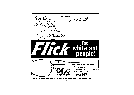

W. A. FLICK & CO. PTY. LTD. 69-75 Victoria Ave., Chatswood. 40 3211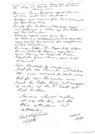OF FIXTH AINTHONG SQUARE DROOP CONVENTION HOLD SCHIONAS, 13TH JEANA, 1965 THE THIR CRIR BROACGOCEAN pmart4£ (Remarked, N.S.W. Common Cousin Spalaling apend Committee at 10 cm with one sad free. Apologies was received from Frank hastange (1) ad Rob Preco (New) primate from Melleman (1964) euro read.<br>One confirmed a hotin of Fah hoelhound ad Clem Chanless. Oclipites reports were four begin RAC CASTION (N.2) Coluithrochestical (S.14) SHIRRI (ARCART (TAS) CRANNA, RIEBY (G) REN (AMYTY (V.) BAL RIETERSHAUCOSTRE) a Marca (Béan (Béa)<br>Descursion Palels-Jan Regas clubs 2 Gues Danvig leter de legumes expertis Jean Daucing al Telat de locker Reget for Special Dancery live lived received Cali thedelleste centimed lied for 1966 Counter at allelail the was tomicd by ceeler already Bid for 1967 la rele even. Med by Side Kigh ad awgust a where of the the freak got Hell buillea Concera Moved encetting at 1150 the his oil for their atticlance  $Q_{e}$ attenti Mil Nalph Century Continuação  $12/666$  $14/6/6$ الوقع الموارد المستحقين.<br>وفيات المستحقين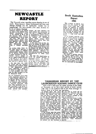# **NEWCASTLE REPORT**

The Neweastle scene regarding square dancing is one of rowth. Three learners' classes commenced this year, and ithough response was not spectacular, neither was it isappointing. We have gained a few more devotees to he art of square dancing.

leweastle supports six square classes. All club members are nce clubs at the present time. are dancers. Most dancers .d membership in two or more the clubs. The clubs are: weastle Square Dance Club,<br>
veastle Square Dance Club,<br>
dara, Belmont, Y.M.C.A., Lake<br>
squarie and the recently-<br>
med Merewether Beach, rfside 8. Family Roundup ib.

The various clubs have reitly taken square dancing to s general public ty medium demonstration dances, where set of dancers demonstrates a public function or club, or, iversely, invites people to ne to a square dance club and it the feel of it", so to speak, m the sidelines, with particition later at a learner dance.

in the past year the clubs ve jointly had the pleasure dancing with Graham Rigby<br>d the Queensland square ncers; organised a dance to se money to assist the victim a road accident; and celetied the first birthday of the ke Macquarie Club.

Our six Newcastle cities have ently appointed delegates to<br>e newly-formed Hunter Diset Square Dance Committee. e to promote square dancing. id organise combined club nees. The committee has alady organised a tig dance in ir area and has plans for more mces, picnics and learners'

 $\sim 10^{-1}$ 

right behind this committee, as moined membership would they feel it is doing a great job in the vicinity of 80 to 100 or consolidating square dancing. of consolidating square dancing the scheme are Newcastle's square dance callers Henk Johannessen, Milton Hail and Brian Hotchkies.

A late news item is that, despite the efforts of Milton Hall and the early enthusiasm of his square dance group, he has had to disband the Belmont Square Dance Club due to lack of Interested members. However, the hard core of members is making arrangements to form other clubs.

We take this opportunity to invite all square dancers to Newcastle during the October week-end holiday, Dances are to be held in Charleston Community Hall on Saturday and Sunday nights. The hosts will be Newcastle square dance ciuba.

### South Australian Report 1965

The position in South Australia has not varied to any great extent from last year, great extent from last year,<br>except the demand in country<br>areas for this type of dancing<br>has increased. However, que to the shortage of catlers and the iong distances involved, we are un bie to cope with this demand.

At the present time the number of stanrte dancirs in South Australia would total approximately 1,000. Do not get the unpression that the 1,000 mentioned are danging weekly; some are weekly, some forttagnary, man some montiny, out<br>they are all rigular dancers.<br>Church cluts would have the<br>majority by far and the four<br>calling to these clubs every<br>saturday night. Saturday might.

We expect a further increase in dancers during these next few months. So, all in all, we consider that square dancing is holding its own in South Austrelia and we expect it to do so for the remainder of the season.

### TASMANIAN REPORT BY THE LAUNCESTON SQUARE DANCE CLUB

This is not a full report on square dancing in the whole of Tasmania, as we have been unable to make contact with clubs in the southern half of the State although we believe there is at least one operating.

started this month, and only time will tell if it can stay on its feet. Of the remaining two. one at George Town and the other at Launession, the latter club has taken a decided turn for the better over the past few months, with increased membership, coth from new and exdancers. The George Town Club fluctuates a great deal, as many dancers are shift workers and are unable to attend regularly. Launceston

It has always been the policy of the Launceston S. D. Club to promote interest in square daneing wherever we can, and in this regard we have given several demonstrations outside the club. At present we are training a squares.

At present there are three set who will be ready for de-<br>clubs in the north, one of which monstrations whenever the opportunity arises, as we have<br>found sufficient interest in the past to warrant it.

Last year's convention in Melcourne, the first attended by members of our club, aroused great interest, and since the return of the three dancers who attended, a definite improvement in both standard and<br>style of dancing is noticeable.<br>Unfortunately, the iccation of<br>our island state makes travel expensive, and only two Launceston Clut members are able<br>to be present to-day, but they carry with them the very best of wishes to all square dancers throughout Australia and New<br>Zealand from Tasmanian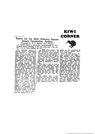# KIWI **CORNER**

### Report for the Sixth National Square Dance Convention, Sydney

(Presented by E. J. Bastion, New Zealand) I cannot report a spectacular break-through in New Zealand square dancing in the past year, but I can say that it is at least holding its own.

The maximum activity is<br>centred around Christehurch<br>and Dunedin in the South<br>Island and I can find no evi-<br>dence of square dancing in the<br>North Island at all North Island at all. However, the Waggon Wheel Cluc, Dunedin, and the Whirlaway Club, Christehurch, have revived their past visits to one another<br>by meeting midway between the two centres at Timaru. The first of these get-togethers took first of these get-togethers took<br>place last Easter, with members<br>of both clubs occupying motel<br>accommodation for the week-<br>end; some making the trip for<br>the Saturday hight only and<br>returning the same night, The<br>speciality spectacle of dressed squares<br>such as you have at the con-<br>such as you have at the con-<br>ventions and other functions here is non-existent in New Zealand and I, as an old campaigner for square dancing,<br>paigner for square dancing,<br>regret this very much, but the<br>activity is simply not strong<br>enough to support this kind of publicity: we therefore try to<br>hold on to what we have got, meanwhile making every effort to attract new members whenever the opportunity arises.

a transmission and de

As these notes appear, the shown by the attendance de<br>1965 Convention will be in the spite adverse weather cond: past, and many regrets expressed here that we were unable to nttend. We are sure that everyone here would enjoy such an event and would benefit tremendously by the experience<br>and the friendships to be gained by attending a Convention.

With this in mind we have a with this in mind we have a<br>small group working on the<br>idea of altending next year's<br>Convention in Adelaide and,<br>tarring the unforeseen, that group will be there. "Hey, Ade-<br>laide, we'll look you over. Better look out now. Here we come!"

- Our jearners' class is pro-<br>gressing well and will amalgamate with our club at a party<br>night on June 25. Some very keen persons amongst them, as apparently haven't arrived.



shown by the accompanies of spite adverse weather condi-<br>tions some nights.

What are cluts dancing new what are clusted as asked in the May "Review." In our Waggo Wheel Club we "Hey Li Lee, I Lee", "Your Cheating Heart" Lee", "Your Cheating Heart"<br>"Island in the Sun", "Blue Moor<br>of Kentucky", "Bless 'Em Alt<br>being very popular, and ever<br>"Mountain Music" comes bac. now and then and gets everyon singing along as well as doin,<br>hoe-downs. Those dances based<br>on popular tunes which allow singing participation not onl bute to a free and easy atmo sphere which makes the dance ing so much more enjoyable.

To those who have missed ou notes we apologise. The note<br>have been possed regularly, but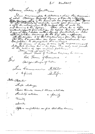$\mathcal{L}$ ,  $\ell'$ Nallea/

Dancers, Ladies & Gentleman I have keen invited to introduce a chair this descussion of what Obsalings Expected Require or Can try & yearling of what coming office to the formal who has progressed the "Boise" rendered uppelf from what you do expect tout are the past with competition dancing for the 18 mg old & ufformed At this Cornentin was have also included. Confectition to demonstrate this interest Intended to the theory it was with acquierconnect de the extens of you implied politics. ? Rich Steam of Commentand  $\frac{4}{5}$ Obelingn Showfe of 782 Jime Commencer H.4500  $2 - \frac{3}{4}$  $\epsilon$  to finish Rello. Alcomber Lupo challenge Cousie trands avec the said Fund ly actualies. a fairly Vanily devils. After a competition we find that these dame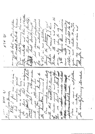mattes, weekended and bether git togethis to T.V. in aur actuative,<br>Monuel the presence of give way stay spon to in 1. forgens their tendes of themself. in the Minestof Fatule. Lisies. y de ma te entendative diverse.<br>Tek su te entendative present of model reamed heavily our way, it's beach and find instation may see your wears and オン ミン the last commented gamed for the fit of the same time and many of the same motions and have a fact of the same of the same and have a fact of the same of the same of the same of the same of the same of the same of the same The society among tomaked where is now a set pattern ste dancer remem que de l'égangéeper Our munders remaindeaby  $\begin{array}{ccc} \hbox{\it Re}\,\theta\,d\theta_{\mu} & \delta & \beta\epsilon\epsilon & \text{ since } & \epsilon\epsilon\\ \ell_{\alpha}^{\epsilon} & \ell_{\alpha\gamma\sigma}^{\epsilon} & \end{array}$ compared to the compared of the second the contribution  $\star$ the the spring the town that I lieve pour donners in aux aalender.  $\mathcal{N} > \mathcal{N}$  (1)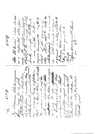indersie can y uny emplotan a more unicon in his desta i op remponent en falle toen de verspreis de ligne toen produite toen produite toen de la faire de la faire de<br>Signed Load a skalp toen de la faire de la faire de la faire de la maine de la faire de la faire de la faire<br>5. de de Renew wind vivitad engayment no ender; and shoten the oplane danen mull Shrui May I leave you in the the ダルス in the promot thele moment is gung, the chen, there is the there i z filmilien säppert obenenne ficument little fortes  $M_5$  m  $5$  M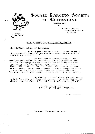

## SQUARE DANCING SOCIETY OF QUIEENSLAND

(FOUNDED 1954)

 $\bullet$ 

14 EAGLE STREET. ALDERLEY HEIGHTS **BRISBANE** 

Telephone: 56 1251

 $\mathbf{h}$ 

### WHAT MODERNS LOOK FOR IN SQUARE DANCING.

MR. CHAIRVAL. Ladies and Gentlemen.

It is with great pleasure that I, of the hundeeds of teenagets in Queensland, he have been give:<sup>1</sup>the pleasure to speak on their behalf.

We find that on leaving school we are restless and looking for something to let o r energy go, and we fand that Square Depoing gives us this necessary go, and we fand that Square Depoing gives us this necessary. It also lapse. With nothing to do, the fancing also sives or a chance

to meet otham: (ithout embs reasment, SlSars & Joung ones alike , provides fun for the whole fumily not only us teenages . Whe music is also very eatchy and wants you to tion and lister.

on winding an I must stress the main points<br>by 40%. The girls said Boys, and the boys said Girls, But as one elderly teenerer stressed the noint so I would ret it, MMI, MMI.

TALISA ALO GENTISYNS .<br>JUTEAU LIST AGR YOUR ATTESTION.

RICEY FRARCH.

### SQUARE DANCING IS FUN"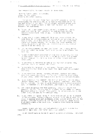Your multi-field We became such a family probably many man as

ال<br>والمناطق المستقر والمناطق المناطق المناطق المناطق المناطق المناطق المناطق المناطق المناطق المناطق المناطق المن

four responsibility to Square Canoing is three fuld.

 $\mathcal{A}^{\mathcal{A}}$  , and  $\mathcal{A}^{\mathcal{A}}$  , and  $\mathcal{A}^{\mathcal{A}}$ 

-irst to feasie, ancien as a whole. second to your club. third to all other concers.

ù.

foutve promotly sect those "know yourself" quizzes in garious periodicals. We used this idea in my talk so that each one of you may test himself a how elf. That chapletely mythical person -- a perfect Square Samoer -- would acceer "pes" to ever one of the following ten questions.

- 1. To you all a out square "ancing at event opportunity, coing your very best to 'ring others in to replace those who for varions reasons have tiven it up. Chvicaly they must be replaced.
- $2.1$ To you attend conjety Neetings? It is you teaperaiblity to help elect the office-boarers and perhaps if you are capalle, to take office. It is easy enough to sit fact and find fault with these hard porking people, ant I'm sure the world welcome gain ideas, suggestions, and even you criticism -- ore straitive of course -- at the meeting.
- wre you always present at your Glab Tancel wother cold, wet or  $2.1$ fine your caller is there. Son't twink you won't be missed. fou  $\texttt{w}\texttt{1}$  :  $\texttt{e}$ .
- i. To you suppost other activities of year club -- piccies, deels-up ni hts, etc.? These things there let af or anising and it must  $con-op-ize.$
- 5. To you serve on Committee or help in any way such as making tea, replacing cha in or executor the floor?
- To you help the begineers is gone club, The sore help and 6. encouragement they receive the sounds the will reach the appeated stareard.
- 7. Jo you circulate between rachets, welcoming visitors and saking some that se-sets alone? For to make a friend of every sember of your club. Cambon the happiest club is the one without cliques.
- To you encourage went caller? You do this be showing him gou really €. believe "square danci is fun" -- by enjoying yourself. Rever take him for granted. He hack is quite strong enough to stand occasional pat. Jo deserves you, ere uralgement, your temple, and your loyalty.
- $9$ . and I make no apology for this question, although I regret the necessibly for it. Are you nice to concert Do you shower and use a decdorant before the dance? This questic to be answered, not by the ladier only, but also by the stronger sex.
- 10. Po you dress for Couare Rancin ? To be well dressed is to le dressed Tor the occasion. Ladies, a Square Marce is hardly the oc-asion for a straight woollen skirt and gentlemen, white business shirts are for the office. That has happened to all the bright clean and plain shirts which were a must a few years ago. Tolourful dress helps to create atmosphere.

Square cancers are humal and not celestial seimes an dust be tho depressed if there are a few "no's" among your massers.

ily own result made me delide th accept my responsibilities. How about yeu.

 $\sim$ 

 $\sim$ 

للدامين الأعادا التلقد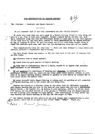### YOUR RESPONSIBILITY TO "SQUARE DANCING"

 $\theta$ lcl

"Mr. Chairman. - Fanelists and Square Dancers'.

 $\mathcal{L}$ 

Do you remember what it was that introduced you into SQUARE DANCING?

It could have been that you were asked by a Square Dancing friend to come along and " give it a go. Then in turn you, yourself, became a Square Dancer and you too, must have, somewhere along the line who encouraged others to take part in this fine pastime. If you have done so, you have done justice to "YOUR RESPONSIBILITY TO SQUARE DANCING"<br>by way of keeping it alive. If each and every one of you here today bought along at least TWO recruits each year well now! let the mathematics take care of the result.

Your responsibility does not stop here --- There are many bridges to cross before you car call yourself a responsible Square Dancer,

You have bought along new people --- Now you must look to the part of keeping them in this field.

DO introduce them to other Dancers.

Pelet - Convet Jeanne

 $\epsilon$ 

 $\mathsf{x}$ 

DO teach them the good manners of Square Dancing.

DO help them in transporting them to a dance, should it so happen that suitable taxx transport is not available.

DO and empahise the importance of keeping your Grouches, to yourself and if a particular problem comes up, which you may think would cause harmful effects on your club or on Square Dancing itself, mention it quietly to your Caller or someone who in turn could smooth the matter over.

DO enjoy yourself while Square Dancing or taking part in anything at all connected the Square Dancing, and do let others see you doing this.

Whether you belong to a Society; Group or any other form of fellowship connected with Square Dancing and you are, or you more or less think that you are a RESPONSIELE Square Dancer -- Do respect all, by making it your personal, effort, to attend other club dances and mix with dancers of other groups -- Remember they are Square Dancers too and enjoying life through the same medium. Your contribution to this effort can keep harmony and Square Dancing on the map for the length of time.

And before closing on this article do not ever forget your responsibility to your own person. Never let it be said to you --"YOU 'SMELL' TIRED!" Thank you.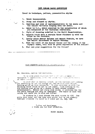### 1965 SQUARE DANCE CONVENTION

Trend in technique, pattern, presentation rhythm

1. Twist incorporated.

 $\left\{ \begin{array}{c} 1 \\ 1 \end{array} \right\}$ 

 $\mathcal{A}_{n+1}$ 

 $\overline{1}$ 

J

- 2. Stomp and steamed up rhythm.
- Beattles and loss of instrumentalists in the music and  $\overline{3}$ . the Caller virtually singing down the music.
- Entry to T.V., which resulted in the calasthetics of which you witnessed at the Victorian Convention. 4.
- Style of dressing modelled to the World Championships. 5.
- б. Aquatic touch when a certain dance finished up with the coins in the fountain.
- 7. Lastly since Robert Helpman and Margot Fontain, we have had ballet introduced to square dancing.
- 8. With the visit of the Moscow Circus and the coming of the Olympic Games, will this be given expression of the future?
- 9. What are your suggestions for the future?

WHAT MODERNS LOCK FOR IN SAVARE DANCING. ಿ(ಭಾರಮವಾದಿ)

Mr. Chairman, Ladies and Gentlemen.

It is with great pleasure that I of the nurdeeds of teenagers in Queensland, have haan siven the miessure to spack on their beachf.

We find that on leaving school, we are restless and looking for something to let our energy go, and we find that Square<br>Dancing gives us this necessity. It also provides us with the thinking power which we apt to let lapse. With nothing to do. the dancing also gives us a chance to meet others without embarressment. Blders and young ones alike, it provides fun for the whole family mot only us teenagers. The music is also very catchy and wants you to stop and listen.

Cn winding up I must stress the main coints by 40%. The girls said boys, and the boys said girls, but as one elderly teenager stressed the point so I would get it, MEN, MEN.

> L<sub>o</sub>sies ond Gentlemen, I thank you for your attention.

> > RICKY PEARCE.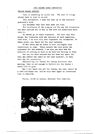### FELLOW SQUARE DANCERS

Time is something we cannot buy. The best of things always have to come to an end.

This Convention, I hope has been up to the standard previously held.

Any mistakes that have been made are mine.

The excellence of the program and the way the Convention has been carried out is due to the work the committees have seen to.

My thanks go to these stalwarts. The work that Bill Rolph, Bev Pickworth with the chairman of each committee, have done, I am sure only your enjoyment can recompense. To their wives, say thank you for your patience.

To Ron Jones may we dance to your callingfor many Conventions to come. Those callers who have given the enjoyment for the weekend, I am sure you have had the pleasure of calling as much as we have had dancing to them.

You may not have noticed him but Owen has spent the full day behind the table at the tape recorder, to keep this day for prosterity.

Charmian has our thsnks for taking dictation this morning. Time is not enough to fulfill all the thanks I would like to give.

May I say thank you all for coming, may your return be a safe and happy one, and we will meet again at Convention time in Adelaide.

Picnic, 10.00 at Audley, National Park tomorrow.

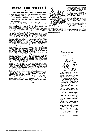## **Were You There?**

*(by Tom JlcGrutlz)*  Another Square Dance Convention has come and gone, leaving us with ~-"ore happy memories to add to our "' -ast store of happy square dance memories.

the 1965 Convention. We came home from Melbourne. began to form Our committees, organized ~wed sets came together and sets came together and the car rallies. We did everything we could to raise money, Then we started looking for halis. Well, you wouldn't believe that<br>a big city like Sydney doesn't<br>realy have any great big halts.<br>Anyhow, that's how It went --<br>committee -meetings --- this idea in, this idea out - we voted<br>  $\sim$  on enough things to run the<br>  $\sim$  :ountry, let alone a Convention.

Then the happy week-end arriv-<br>
ed, along with over 350 out-of-<br>
State-visltors.<br>  $\begin{array}{c}\n\bullet \\
\bullet \\
\bullet\n\end{array}$  our first big night, Tele-

\.,"10n Station Channel 2 had a camera crew there. SaturdaY night at Cronulla was more of the ssme. Chick and Tom Mc-Grath woere celebrating their wedding anniVersary, Sergeant Bill Eolph and his capable K.P.<br>Crew handled the supper. M.C.'s<br>Eay Watson and Roy Petty did<br>Nery good roundup and it<br>Comed to work fine. All the<br>cliens, were in fine voice and<br>we had a wonderful time. On<br>Sunday morning Ch

hope for the best.<br>
Laurie Spalding opened the<br>
meeting at ten, with well over<br>
300 square dancers present,<br>
Colin Huddleston, who. has<br>
became known as "The Man<br>
Without the Hat", gave a good

**Contract Contract** 

It all started last October, report on South Australia, and when the N.S.W. Society bid for also confirmed his Srate's bid<br>the 1965 Convention. We came for the 1966 Convention, to be

held on Quccn's Birthday week-<br>end :n June.<br>- Ron Whyte gave a good report<br>on Victoria and a good comprehensive report on the 1964 Convention.

Graham Rigby gaYe a good report and aL,o bid for Queensland to hold the 1967 Conven-<br>tion. If you listen to this silver-<br>tongued fellow long enough he will convince you that Queens-<br>land is the best State of all.<br>Delegates Eric Bastion, from<br>New Zealand, Shirley Casboult<br>from Tasmania, Bill Fulton, of Newcastle, all gave good reports:<br>Spalding gave N.S.W.'s report.<br>To sum them all up, square<br>dancing is still healthy and has<br>a good chance of growing in<br>a good chance of growing in

In the discussion group Marj. Hislop's advice to the male<br>square dancers hit home. I'm<br>sure. The teenagers gave very<br>good reports, and the "What do Beginners Expect from Square<br>Dancing?" report by Pat Moore<br>may become a square dance

classic.<br>
We had a full day on Sun-<br>
we had a full day on Sun-<br>
day, round dancing exhibitions<br>
and square dancing right<br>
through to 11 p.m. Ken Henley<br>
from Brisbane got up out of his<br>
sick bed to do some very god<br>
umusua

on 37 different callers on  $\epsilon_n$ .<br>
On Monday we were still ait,<br>
out to Natlonal Park, dag<br>
The Slosh and bidding sad fe-<br>
wells to many of our out:

 $\sim$   $\sim$ 

 $\sim$   $\sim$ 



State visitors.

Dlci YOU know that thcre nrc two George Bells? There are! And the only way you can tell them apart is that the Melbourne George is always kissing everybody. Bib is his wife, and I'd like to see a poem by Bib<br>atout George some time,

Eric Wendell's "Wheeling 8"<br>group lost their mascot for a group lost their mascot for a<br>short time, but we are happy to<br>say they got it back.

Graham Rigby's new record<br>made a good linpression on<br>everyone who heard it. I hope<br>you sell lots of them, Graham,

And now we are saving our<br>money and looking forward to<br>visiting Colin Huddleston In<br>South Australia.

We didn't get to talk to as<br>many of our friends this year<br>as we would have liked to, but<br>next year it will be different.

### Congratulations. Sydney!



011 bchalf of thc one hundred Queenslanders who attended the recent National Convention in Sydney. we offer heartiest congratulations to the Square Dance Society of New South Wales for the wonderful way in which this  $\log$  event was presented.

Secondly, we thank Ron Jones for his very excellent ~OUIJ(I. whieh I;I~I'!C buth dancing and calling a real pleasure.<br>"Thirdly,

congratulations again to the New South Wales Soesety, for the first-class television coverage which has since been viewed nationally Ihroughaut Australia.

Next year we look forward 10 seeing you all in Adelaide. and, of course, it will be our pleasure to host the "National" in 1967. Bit, for the Conventhan just concluded. it was  $\text{vec} \cdot \text{index}$  in  $\text{index} \cdot \text{index}$  in  $\text{max}$ . aral. once again, we say ~Thank = tour and romyntal<br>Iortone is descri

------.. ----\_.\_.\_---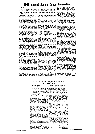### Sixth Annual Square Dance Convention

Well, it's over, but will never be forgotten. New South Wales turned on everything they had to ensure that this would be at least one of the most memorable Conventions held for some time amongst the square dance folk of Australasia.

attending for some -- and, for<br>many, most -- of the Convention, this would indicate, to the best of my knowledge, one quarter of the known active square<br>dinners of Australia were pre-<br>sent, which proves that the<br>members we have got are keen,<br>if nothing else, and I would like to see figures from any other to see ingures from imp other<br>mapp Convention that would<br>beat those stated above. At<br>several of the dances the at-<br>tendances were in excess of 700.<br>New South Wales may not be

the Sunshine State, but any rain that may have fallen was Fair that may make name it was<br>as you can imagine, 1000 per-<br>sons can create a lot of dust<br>and I feel that no persons would<br>have been inconvenienced by<br>such rains and/or winds, as<br>such rains and/or winds, as everyone had been reminded to bring their raincoats. I feel sure<br>that the rugs that were men-<br>tioned would have only been sioned would may been initiated in travelling at night to<br>and from the Convention. I know that the ticket was used know that the basic was used<br>of getting to the marvellous<br>meals and refreshments provided.

The A.R.C. National Television News Service must be congratulared on the fine manner which they presented square<br>dancing over the various chan-<br>nels, and I feel that interest will be created in many circles and feel that more squares may result.

The many demonstrations of<br>new dances and different styles ary<br>these

that this would have made very enjoyable and colourful film.

For those who missed this information and those who have been confused afterward, and  $n$  these for those who gained for those who gained these<br>places one member of the win-<br>ning team thought that they<br>came third, the results of the<br>NEW South Wales Competition New South were compared were as follows:<br>
Ist. Starlighters<br>
2nd. Ramblers<br>
3rd. Waggon Wheels<br>
3rd. Waggon Wheels

Congratulations from all of congratulations from all of<br>as to you. The appearance of<br>competition teams in other<br>States operating on a similar<br>basis to those of New South values would not surprise me;<br>neither would a challenge from one of these teams or its home state to those of New South Wales.

I feel, also, that our many thanks should go to the many newspapers and magazines that gave us a great amount of pub-<br>leity. In many of the magazines<br>circulated through the United neity, in many of the magazines<br>circulated through the United<br>States of America news of our<br>Convention ranked equal to their Convention in Dallas, Texas. In one or two our news even<br>"rushed" Texas off the front even. cover.

It was a treat to see so many dressed sets and club outfits at dressed sets and cup onthus at the different dances and just<br>goes to show the wonderful<br>creative minds many of pur<br>members must have to be able to produce such items.<br>The wonderful light-up of call-

The wantes and understite styles Ting Wonderstit life-up of dali-<br>of dancing provided much inter-<br>est and discussion as to the alone date to. Special mention,<br>pros and cons of each item. I in my mind, should go to that<br>fee various demonstrations. Queensland, Ken Henley, for his

call, as I feel his call was a<br>very enjoyable break from the "usual". He was the only caller "usual". He was the only caller<br>to present a really interesting<br>gimmick or novelty in my opin-<br>icm. A hearty "thanks" should<br>siso go to Ron Jones for provid-With well over 1000 persons especially from above,  $N$  I think ing the wonderful sound systems -it was known that Ron was tied up for many hours setting up this system, but when he did it was felt that it was the best that could be provided.

The many and various com-<br>mittees that worked to provide the many facets of such a Convention should also be warmly congratulated for the fine effort that they made to provide such a magnificent affair, as was staged for this Convention.<br>Many of these committee per-<br>sonnel gave up their own home somel gave up their own home<br>comforts for the week-end to<br>act as hosts at the various<br>hotels, motels, caravan parks at<br>which the groups of interstate<br>dances were staying.<br>It appears that the size of the<br>Convention is getti

ous activities may have to be split over several halls. Rumour has it that the New South Wales

has it that the New South Wales<br>Society will use the opera House<br>If it ever gets finished !<br>To those who didn't attend<br>the Convention I can only say<br>"You have missed one of the<br>test Square Dame Conventions" that has ever been held, and I realise that, although this report is brief, along with the other<br>reports which have been provided, it will bring you the spirit of conventions and inspire you to be held in Adelaide, in 1966, and hosted by the man with the Stetson, Colin Huddleston."

My final thanks go to all who<br>attended the Sixth National<br>Square Dance Convention, danevent Lance Convention, can<br>cers, callers and committee per-<br>somel for providing me with a<br>most enfoyable week-end. I only use<br>longer, but do not know if I<br>would last the distance.

Owen E. Edmonds.

### SIXTH ANNUAL SQUARE DANCE **CONVENTION**

WELL DONE, SYDNEY ! The Convention was a great success as far as I could tell. I enjoyed every minute of it as I am sure most of the damers did. The host and hostess in each motel was a good idea and I am sorry that we missed our hostess. Mrs. O'Mara, at Central and had her chasing us all over Sydney. Mr. and Mrs. O'Mara did a great job and I am sure the other hosts did too.

The weather - well, no need to say more, as it was perfect<br>all the time. The Saturday was<br>lovely, and so it was meeting the ់ងេ triends we had met down Greenes we have the crowd over-<br>Melbourne. The crowd over-<br>flowed the hall, but who cared<br>when we were all enjoying it<br>so muth? What a like warm day the Sunday was and as the half was right on the beach we<br>were afte to watch quite a<br>crowd of young people out on<br>surf boards, and this in midsure oraques, and thus in inflo-<br>June ! Congratulations to the<br>sets of young children who<br>danced for us and the 14 sets<br>who were in the competition, I am sorry the programme on TV was not taped at Cronulla. The was not capper at Communication<br>there they may have been able<br>to get some of these sets and<br>also of all the dressed sets that<br>were there, as they were a credit to all.

On the Monday we were<br>taken on a picnic to a part of<br>National Park, and what a lovely spot-right on a river.

There were a lot of small coi-<br>oured boats on the river and<br>they mate a lovely sight. There they make a new sign. There and<br>some of the folk still had<br>some of the folk still had<br>encugh energy to square dance,<br>all day. The Brisbane folk en-<br>joyed it so much that I'm stire they were running very late<br>when they did at last drive away

On Monday night we went to<br>a dance at Punchtowl and had another good night. The girls<br>and boys in this club. I am sure,<br>were in the exhibition sets, but were in the exhibition sets, but<br>thus night they pointed in and<br>danced with us older try, and I<br>thank them for the way they<br>made the evening so enjoyable.<br>To all who had any part in<br>arranging or running the Cou-<br>vention I many of you as possible there.'<br>Alice Kay,

Sunnyside Club Melbourne.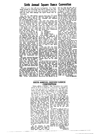## Sixth Annual Square Dance Convention

Well, it's over, but will never be forgotten. New South Wales turned on everything they had to ensure that this would be at least one of the most memorable Conventions held for some time amongst the square dance folk of Australasia.

best of my knowledge, one quarter of the known active square<br>dancers of Australia were pre-<br>sent, which proves that the members we have got are keen. incriming else, and I would like<br>to see figures from any other<br>major Convention that would<br>beat those stated above. At  $at$ several of the dances the tendances were in excess of 700.<br>New South Wales may not be

the Sunshine State, but any<br>rain that may have fallen was<br>only necessary to settle the dust. only necessary to serve the theory<br>As you can imagine, 1000 per-<br>sons can create a lot of dust<br>and I feel that no persons would have been inconvenienced ty<br>such rains and/or winds, as<br>everyone had been reminded to bring their raincoats. I feel sure that the rugs that were men-<br>tioned would have only been used in travelling at night to and from the Convention. I know that the ticket was used very often, if only as a method of getting to the marvellous meals and refreshments provided.

The A.B.C. National Television News Service must be congratuwhich they presented square<br>dancing over the various chan-<br>nels, and I feel that interest will be created in many circles and feel that more squares may result.

of The many demonstrations new dances and different styles<br>of dancing provided much interest and discussion as to the est and discussion as to the alone gance to, special mention, pros and cons of each item. I in my mind, should go to that feel sorry that there were not handsome gentleman produced great tengths of film taken of by the Whe

With well over 1000 persons especially from above,  $\vec{a}$ - I think attending for some - and, for that this would have made a many, most -- of the Conven- very enjoyable and colourful tion, this would indicate, to the fil

For those who missed this information and those who have been confused afterward, and<br>for those who gamed these places one member of the winplaces once the thought that they<br>came third the results of the<br>New South Wales Competition were as follows:-

ere as four<br>and Starlighters<br>2nd, Ramblers<br>ard, Waggon Wheels<br>Congratulations from all οf Congratuations from all of<br>the appearance of<br>competition teams in other<br>Sizates operating on a similar<br>basis to those of New South<br>Wales would not surprise me; neither would a challenge from one of these teams or its home<br>state to those of New South Wales.

I feel, also, that our many thanks should go to the many newspapers and magazines that gave us a great amount of publicity. In many of the magazines circulated through the United States of America news of our Convention ranked equal to their Convention in Dallas, Texas. In ourversion in Danas, Texas. 20<br>one or two our news even<br>"gushed" Texas off the front one cover.

It was a treat to see so many dressed sets and club outfits at different dance our club with different dances and just goes to show the wonderful creative minds many of our members must have to be able to produce such items.<br>The wonderful line-up of call-

ers was a treat to listen to, let alone dance to. Special mention.

call, as I feel his call was a<br>very enjoyable break from the rhe "usual". He was the only caller<br>to present a really interesting<br>gimmick or novelty in my opinten. A hearty "thanks" should also go to Ron Jones for providing the wonderful sound systems -it was known that Ron was tied up for many hours setting up this system, but when he did was felt that it was the best

that could be provided. The many and various com-<br>mittees that worked to provide the many facets of such a Convention should also be warmly congratulated for the fine effort that they made to provide such<br>a magnificent affair, as was staged for this Convention. staged for this Convention.<br>Many of these committee per-<br>somel gave up their own home<br>comforts for the week-end to<br>act as hosts at the various<br>which the groups of interstate<br>dancers were staying.

It appears that the size of the Convention is getting to be a problem and in future the various activities may have to be split over several halls. Rumour has it that the New South Wales Society will use the opera House<br>if it ever gets finished !

To those who didn't attend<br>the Convention I can only say<br>"You have missed one of the<br>test Square Dance Conventions that has ever been held, and I that has ever been new, may relate that is report<br>is brief, along with the other<br>is brief, along with the other<br>reports which have been pro-<br>vided, it will bring you the spirit of conventions and Inspire you of conventions and inspire you<br>to travel to our next Convention<br>to be held in Adelaide, in 1966,<br>and hosted by the man with the<br>Stetson, Colin Huddleston."<br>My final thanks go to all who<br>attended the Sixth National<br>Square D

cers, callers and committee personnel for providing me with a most enjoyable week-end. I only most tinguage wear-entities were<br>longer, but do not know if I<br>longer, but do not know if I<br>would last the distance.<br>Owen E. Edmonds.

### SIXTH ANNUAL SQUARE DANCE **CONVENTION**

WELL DONE, SYDNEY! The Convention was a great success as far as I could tell. I enjoyed every minute of it as I am sure most of the dancers did. The host and hostess in each motel was a good idea and I am sorry that we missed our hostess. Mrs. O'Mara, at Central and had her chosing us all over Sydney. Mr. and Mrs. O'Mara did a great job and I am sure the other hosts did too.

ond a great job and i am sure the other hosts did too.<br>The weather — well, no need There were a lot of small col-<br>to say more, as it was perfect used boats on the river and<br>this time. The Saturday was a big dance floor th were atle to watch quite a crowd of young prople out on<br>surf boards, and this in mid-June! Congratulations to the sets of young children who danced for us and the 14 sets who were in the competition.

I am sorry the programme on<br>TV was not taped at Cronulia, the was fire target at community<br>where they may have been able<br>to get some of these sets and<br>also of all the dressed sets that were there, as they were a credit to all.

On the Monday we were taken on a picnic to a part of National Park, and what a lovely spot-right on a river.

a dance at Punchtowl and had another good night. The girls and bays in this club. I am sure, were in the exhibition sets, but<br>this night they joined in and danced with us older fry, and I

danced with us older try, and I<br>thank them for the way they<br>made the evening so enjoyable.<br>To ull who had any part in<br>arranging or numing the Con-<br>value of the con-<br>value of the state of the state of the delaide next year

Sunnyside Chip

Melbourne.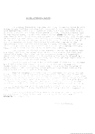### SOUTH AUSTRALIA REFORT.

At schwarition bis the und chast Communication for the strategy of the state of the field of the field of the<br>Beling of the land single and eventhed throughout is the presidence of the<br>In Courty System in any range is thei to the Greated ears, who fricted locked witte reset for witting , who I heme them as atll vivous home freezed peta of o longwertich. The oroifficely පිසි ජීවිත පිළඳීම බලව ජනපාර අපගිරි. වෙඩිනමු රික වගැදීම සිදුව විද්යවීම, දෙයි දිවි පසුම ගමාව විහාරවාද<br>විව රවිත රිගාපාද වීම ගිදක හිගේ විෂ්ලපා(කිංහි ගම යුදා) හිංග්ම රික පංෂාව. 27 එහිදීපති කිරීම දහම දකී tha este to españa distintanda Comortidra Cristiana disposa habosa di che ຊື່ຫງ່ອນລືໃຫ້ກອບເມື່<sup>ອໃນ</sup>ກໍ່ອົງການການໃຫ້ ຈາກກັນກໍ່ຄ້ານຈົກກັບກໍ່ສືບນຽອນຄື. ທີ່ກໍໄດ້ອືກຄື. ທີ່ກໍຕໍ່ຕໍ່ຖືກ້ຽວຊັດໄສ<br>ກໍໄມ່ໄປ 2005 ສຸດ ໂດກສູນກອບການ ກ່ຽວກັບກໍໄປກ່າວໃນ ຈີກ ບັນໄປກ່ຽວ ກ່ຽວ ກ່ຽວສັດສິດການເປັນເພື່ອ tavi province formates of l'originate le consentanciale cometate.

the posted of the third of the community of the produce and the second to the train but like, olimus fo the right winder for what the wind the width that they tere i si control di concerno di consello di conseguenza della conseguenza della conseguenza di consella di consell<br>casos cipos chisa langs colono co a Convention – they compile clipses da caso sa c<br>ficar shop chi co servelle t very mode of the connect a perst time.

Rownd landing + I was on India ability worn of this iss lim chapters 

 $\mathbb{P}^{n+1}$  with  $\mathbb{P}^{n+1}$  and  $\mathbb{P}^{n+1}$  is the state of  $\mathbb{P}^{n+1}$  is the second of  $\mathbb{P}^{n+1}$  in the second of  $\mathbb{P}^{n+1}$  is the second of  $\mathbb{P}^{n+1}$  is the second of  $\mathbb{P}^{n+1}$  is the second of

රුදි විසින් සිදුවීමේ සිදුවීමේ සම්බන්ධ විද්යාව විසින් විද්යාව විසිදුවීමේ කර විවිධ විසින් විසින් විසින් විසිදුවී<br>මෙහි විස්තාව කිරීම සිදුවීමේ සම්බන්ධ විසිදුවීමේ සම්බන්ධ විසිදුවීමේ සම්බන්ධ විසිදුවීමේ සම්බන්ධ විසිදුවීමේ සම්බන්  $\mathcal{V} \cap \mathcal{S}^{\mathcal{V}}$  .

i (1986) – a mariji (2009) – a Transa se na navrot poljenje južnica i spojavlje.<br>Bod obavljenjem strunjenja od ose se na vrem i upose plan, u na se sveja aleznije u po

Mobern Huddlerton.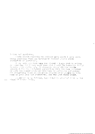Indies ond Sentleren,

Tords cannot describe the Selight with which I once sesin bring greetings form hew Zenland to entther Scusce Dance. Convention in Australia.

I com cult aga that bope has tleved a large part in mahing to make come wisits get. I sincerely thank all the ceople schearmid for the conderful hoanitality that has been schorded my wite and ryself while we have heen in welbouwne and Sydney. ret fersetting these Sausre Dunce irlends where guests we have heen in Lare Cove and Parrametts, for the last three weeks.

ly report is no follows, Suly typed in Jansherd tyre much a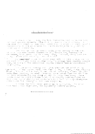part and many and files wat freezen Additional Additional from 1911 the appendix and the present for a second <br>In a present production of a ferromagnetic and profit areas in the form appendix and any and the second for a  $\alpha$  and a string of  $\alpha$  and  $\alpha$  in the string of  $\alpha$  and  $\alpha$  in an and  $\alpha$  are string in a second in sponded to be the disk and decode and the later proposed to bally space in itterare by electronic

stri eli komp<mark>etat dese</mark> el se provincian al provincia del condita del col.<br>dun elub concercio del mísis en situal (al l'al del mer dese escreccio de<br>l'angli se se con di contesti espresso estigan cose destre en ci concist dos el montro el

ini herr ekonomisme fin important sa sello sa informacione; llesse sanga husan propolic funda holder do dining partielen averagement.<br>Antalista i por emecini propolici di partiele.<br>Anten nu se fra l'englazi so inchimare enforcite.

o ilgae mbo havo niskabi our nores me duslogise, l'in nores inava deen jourteu regrianism, dat eppurentijn buventt spotved.

ô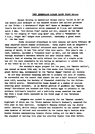### 1965 QUEENSLAND SQUARE DANCE STATE REPORT

Square Dancing 1n Queensland beeame really "alive in 65" at one minute past midnight as one hundred dancers and callers gathered at the "B-Bar - L Hoedowners" Night Owl" Dance at Sandgate on New Year's Eve with a spectacular which eommenced at 9 p.m. and continued until 2 Am. "Old Father Time" scythe and all, ushered in the New Year to the singing of "Auld Lang Syne" and, after a "breakfast" at 2 a.m.. "Fight Owl" badges were presented. Certailly a great start fe the New Year!

Clubs re-opened everywhere in late January and early February ad many reported record summer attendances. Party nights such as Ashgrave's "Va1entine" and "South Pacific· attracted much interest and, with the coming of March, it was "Car rally" time once again. This year's con test, however, included a "treasure hunt" as well, and the course led through Brisbane's Northern Suburbs and near country areas. Greg Butson's feat of winning the rally without the loss of a single point was all the more remarkable by his having no navigators to assist him. It was voted by all to be the best rally yet.

The Society's major project for the year, the "Easter Raffle", was opened on March 12th and, in the five weeks that followed, the giant Easter Egg, accompanied by the "Easter Burny" visited all Society

bs and many Brisbane shopping centres to promote the sale of tickets. So successful was the result that almost two and a half thousand tickets were sold, assuring the Society of financial stability for the following twelve months. Demonstration teams danced at a number of centres ereating great interest. As an Easter gesture of goodwill our "Easter Bunny<sup>®</sup> distributed one hundred and fifty easter eggs to patients at the Brisbane Children's Hospital and a publicity scoop resulted the next day when a large photo appeared on the front page of the "Brisbane Telegraph".

Ashgrove was packed to capacity for the "Easter Parade"; highlight of which was the "State Amateur Caller's Contest", competed for this year in four sections. Sandgate's Theresa Gilbert won the Junior Girls' section, whilst Evelyn Johnson was successful in the Ladies' Open. John Knowles of Holland Park succedded in the Junior Boy's Section with Richie Stevens representing Coopers Plains taking out the Men's Open. The standard of calling this year was possibly higher than ever before.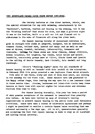### 1965 QUEENSLAND SQUARE DANCE STATE REPORT CONTINUED.

The Society Barbecue at Pine River Gardens, Petrie, was the spucial attraction for May with swimming, entertainment by the "Wanderers", barbecue, Bonfire and dancing in the evening, but it was the "Floating Bonfire" that stole the show, and what a glorious sight it was as the bonfire, built on a raft was lit and floated out to miA-stream to the echo of fireworks all along the river bank.

The Square Dancing Society of Queensland continues to grow in strength with clubs at Ashgrove, Sandgate, two at Greenslopes, Coopers Plains, Holland Park, Ipswich and Manly West as well as new ones at Wynnum, Toombul, Salisbury, Indooroopilly, Coorparoo and roowoomba. Calling for these clubs are Peter Johnson, Johnny Wilkinson, Rodney McLachlan, Sid Leighton, Kay Bienke, Bruce Davies and myself. Leanwhile, non-society groups meet at Lilton, Slacks Creek and Ipswich to the calling of Bernie Kennedy, Jack Witchell, Eric Jendell and Doug Rorsburgh.

;,:ilton·s "~1heeling Eights" cater for all standards of Square Dancing as well as "Rounds" with Eric Jendell at the microphone. On February 25th this group promoted a new Beginners Class which attract-

five sets of new faces, sixty per cent of whom were adult, all joining in the Roundup for the first time. These dancers have now graduated to the Happy -edium Stage, thus leaving the way open for a new learners class in three months time. Picnies, barbecues and inter-club visits keep these dancers on their toes with special nights for inter-state and overseas visitors from time to time.

For Square Dancing Generally, this year has been a period of much greater acceptance of the movement in Queensland than possibly ever before. We have been invited by many of Brisbane's leading organisations to present Square Dancing to the public under most favourable conditions. There have been a number of television appearances and perhaps I might be permitted to mention a certain Square Dance recording that was released nationally a few days ago. All in all, Queenslanders generally are accepting the fact that Square Dancing is here to stay as an important and lasting social activity.

"...: i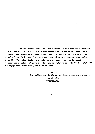On our return home, we look forward to the Beventh "Sunshine State Roundup" on July 24th smd appearances at l'oowoomba's "carnival of Flowers" and Brisbane's "Warana Festival" in the Spring. We're all very proud of the fact that there are one hundred Square Dancers here today from the "Sunshine State" and this is a record. May the National Convention continue to grow in size and importance and may we all continue to enjoy this wonderful past-time of ours!

> I thank you, The Ladies and Gentlemen of Square Dancing in Aust. GRAHAM RIGBY, QUEENSLAND.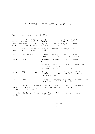### 1957 NATIONAL SQUARE DANCE CORVENTION PIL.

Mr. Chairman, Ladies and Centlemen,

in behalf of the Douare Dancers of Queensland, I wish to submit a strong bid to host the 1967 Cational Dquare Dance Convention in Brisbare, Queensland, during the Baster

if successful in eur tid, the convention programme

| SATURDAY AFTERTLON:       | (fficial Upering ot the Crohestral<br>Chell in Shiebene's Dotanical Gordens.                         |
|---------------------------|------------------------------------------------------------------------------------------------------|
| SATURDAY NUGHT:           | "Wetionel Roundar" at the Brichane<br>31tr 8611.                                                     |
| DUNGAY:                   | "Sighth Potional Jorrertfon" or Bristenne's<br>Ticuõlnud Pelinnam.<br>(Dancina espainy ef 100 sets)  |
| MCNDAY NORMETON (11s.m.): | -"Sovere Dsnoe Paggent" - Poolside of<br>Lernone Hotel, EKEKIKIKI Broadbesch on<br>"老爷呀,你看不管,你还会会出去。 |

"Closius Dence bession" stof-top Convention.<br>Rece, Lennons Hotel - Broadbecch. **I CHAAY AFT SRNOCH:** 

all of these louidigns are untilitie and have heap teatroively hocked. If successful, we casure denders and collers of a post الموار

tr. Jhoirean, I now submit this bid to you is vriting, co

GRAHAN SLUTY WEINSEATD.